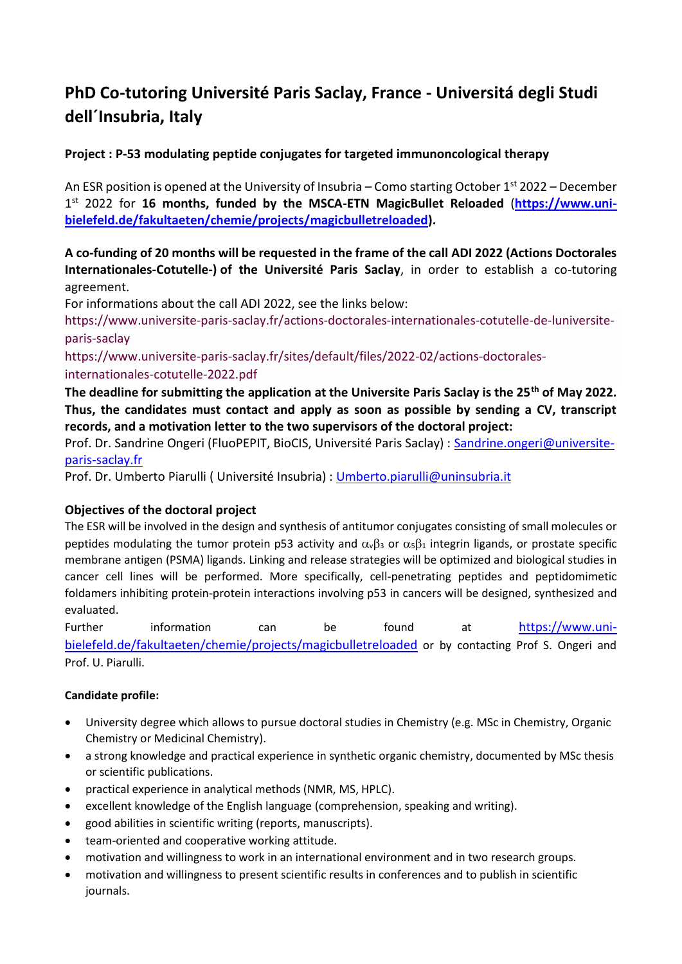# **PhD Co-tutoring Université Paris Saclay, France - Universitá degli Studi dell´Insubria, Italy**

# **Project : P-53 modulating peptide conjugates for targeted immunoncological therapy**

An ESR position is opened at the University of Insubria – Como starting October  $1<sup>st</sup>$  2022 – December 1 st 2022 for **16 months, funded by the MSCA-ETN MagicBullet Reloaded** (**[https://www.uni](https://www.uni-bielefeld.de/fakultaeten/chemie/projects/magicbulletreloaded)[bielefeld.de/fakultaeten/chemie/projects/magicbulletreloaded\)](https://www.uni-bielefeld.de/fakultaeten/chemie/projects/magicbulletreloaded).** 

## **A co-funding of 20 months will be requested in the frame of the call ADI 2022 (Actions Doctorales Internationales-Cotutelle-) of the Université Paris Saclay**, in order to establish a co-tutoring agreement.

For informations about the call ADI 2022, see the links below:

[https://www.universite-paris-saclay.fr/actions-doctorales-internationales-cotutelle-de-luniversite](https://www.universite-paris-saclay.fr/actions-doctorales-internationales-cotutelle-de-luniversite-paris-saclay)[paris-saclay](https://www.universite-paris-saclay.fr/actions-doctorales-internationales-cotutelle-de-luniversite-paris-saclay)

[https://www.universite-paris-saclay.fr/sites/default/files/2022-02/actions-doctorales](https://www.universite-paris-saclay.fr/sites/default/files/2022-02/actions-doctorales-internationales-cotutelle-2022.pdf)[internationales-cotutelle-2022.pdf](https://www.universite-paris-saclay.fr/sites/default/files/2022-02/actions-doctorales-internationales-cotutelle-2022.pdf)

**The deadline for submitting the application at the Universite Paris Saclay is the 25th of May 2022. Thus, the candidates must contact and apply as soon as possible by sending a CV, transcript records, and a motivation letter to the two supervisors of the doctoral project:** 

Prof. Dr. Sandrine Ongeri (FluoPEPIT, BioCIS, Université Paris Saclay) : [Sandrine.ongeri@universite](mailto:Sandrine.ongeri@universite-paris-saclay.fr)[paris-saclay.fr](mailto:Sandrine.ongeri@universite-paris-saclay.fr)

Prof. Dr. Umberto Piarulli ( Université Insubria) : [Umberto.piarulli@uninsubria.it](mailto:Umberto.piarulli@uninsubria.it)

### **Objectives of the doctoral project**

The ESR will be involved in the design and synthesis of antitumor conjugates consisting of small molecules or peptides modulating the tumor protein p53 activity and  $\alpha_{\nu}\beta_3$  or  $\alpha_5\beta_1$  integrin ligands, or prostate specific membrane antigen (PSMA) ligands. Linking and release strategies will be optimized and biological studies in cancer cell lines will be performed. More specifically, cell-penetrating peptides and peptidomimetic foldamers inhibiting protein-protein interactions involving p53 in cancers will be designed, synthesized and evaluated.

Further information can be found at [https://www.uni](https://www.uni-bielefeld.de/fakultaeten/chemie/projects/magicbulletreloaded)[bielefeld.de/fakultaeten/chemie/projects/magicbulletreloaded](https://www.uni-bielefeld.de/fakultaeten/chemie/projects/magicbulletreloaded) or by contacting Prof S. Ongeri and Prof. U. Piarulli.

### **Candidate profile:**

- University degree which allows to pursue doctoral studies in Chemistry (e.g. MSc in Chemistry, Organic Chemistry or Medicinal Chemistry).
- a strong knowledge and practical experience in synthetic organic chemistry, documented by MSc thesis or scientific publications.
- practical experience in analytical methods (NMR, MS, HPLC).
- excellent knowledge of the English language (comprehension, speaking and writing).
- good abilities in scientific writing (reports, manuscripts).
- team-oriented and cooperative working attitude.
- motivation and willingness to work in an international environment and in two research groups.
- motivation and willingness to present scientific results in conferences and to publish in scientific journals.